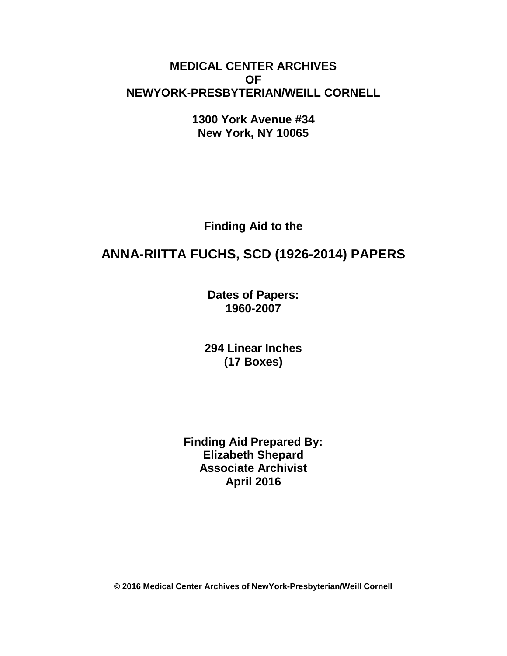# **MEDICAL CENTER ARCHIVES OF NEWYORK-PRESBYTERIAN/WEILL CORNELL**

**1300 York Avenue #34 New York, NY 10065**

**Finding Aid to the**

# **ANNA-RIITTA FUCHS, SCD (1926-2014) PAPERS**

**Dates of Papers: 1960-2007**

**294 Linear Inches (17 Boxes)**

**Finding Aid Prepared By: Elizabeth Shepard Associate Archivist April 2016**

**© 2016 Medical Center Archives of NewYork-Presbyterian/Weill Cornell**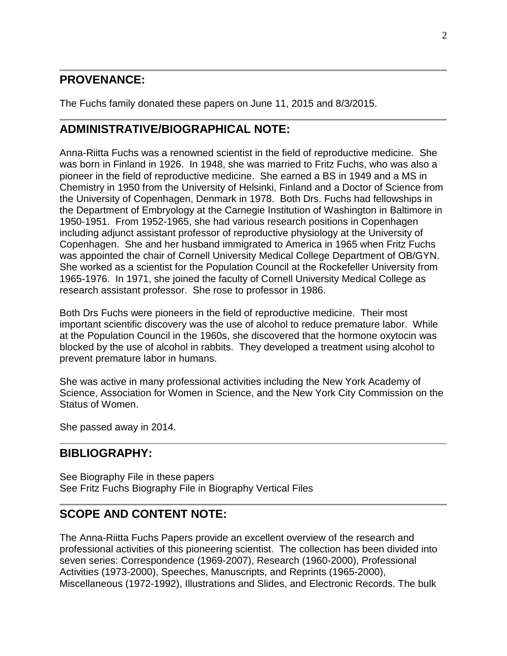# **PROVENANCE:**

The Fuchs family donated these papers on June 11, 2015 and 8/3/2015.

# **ADMINISTRATIVE/BIOGRAPHICAL NOTE:**

Anna-Riitta Fuchs was a renowned scientist in the field of reproductive medicine. She was born in Finland in 1926. In 1948, she was married to Fritz Fuchs, who was also a pioneer in the field of reproductive medicine. She earned a BS in 1949 and a MS in Chemistry in 1950 from the University of Helsinki, Finland and a Doctor of Science from the University of Copenhagen, Denmark in 1978. Both Drs. Fuchs had fellowships in the Department of Embryology at the Carnegie Institution of Washington in Baltimore in 1950-1951. From 1952-1965, she had various research positions in Copenhagen including adjunct assistant professor of reproductive physiology at the University of Copenhagen. She and her husband immigrated to America in 1965 when Fritz Fuchs was appointed the chair of Cornell University Medical College Department of OB/GYN. She worked as a scientist for the Population Council at the Rockefeller University from 1965-1976. In 1971, she joined the faculty of Cornell University Medical College as research assistant professor. She rose to professor in 1986.

Both Drs Fuchs were pioneers in the field of reproductive medicine. Their most important scientific discovery was the use of alcohol to reduce premature labor. While at the Population Council in the 1960s, she discovered that the hormone oxytocin was blocked by the use of alcohol in rabbits. They developed a treatment using alcohol to prevent premature labor in humans.

She was active in many professional activities including the New York Academy of Science, Association for Women in Science, and the New York City Commission on the Status of Women.

She passed away in 2014.

# **BIBLIOGRAPHY:**

See Biography File in these papers See Fritz Fuchs Biography File in Biography Vertical Files

# **SCOPE AND CONTENT NOTE:**

The Anna-Riitta Fuchs Papers provide an excellent overview of the research and professional activities of this pioneering scientist. The collection has been divided into seven series: Correspondence (1969-2007), Research (1960-2000), Professional Activities (1973-2000), Speeches, Manuscripts, and Reprints (1965-2000), Miscellaneous (1972-1992), Illustrations and Slides, and Electronic Records. The bulk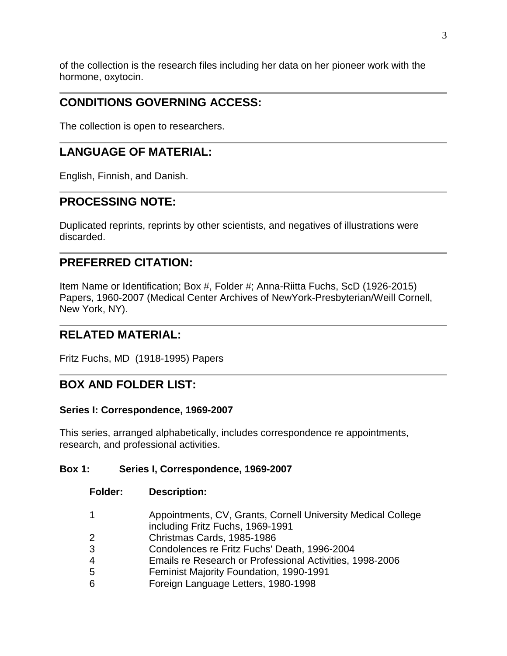of the collection is the research files including her data on her pioneer work with the hormone, oxytocin.

# **CONDITIONS GOVERNING ACCESS:**

The collection is open to researchers.

# **LANGUAGE OF MATERIAL:**

English, Finnish, and Danish.

# **PROCESSING NOTE:**

Duplicated reprints, reprints by other scientists, and negatives of illustrations were discarded.

# **PREFERRED CITATION:**

Item Name or Identification; Box #, Folder #; Anna-Riitta Fuchs, ScD (1926-2015) Papers, 1960-2007 (Medical Center Archives of NewYork-Presbyterian/Weill Cornell, New York, NY).

# **RELATED MATERIAL:**

Fritz Fuchs, MD (1918-1995) Papers

# **BOX AND FOLDER LIST:**

#### **Series I: Correspondence, 1969-2007**

This series, arranged alphabetically, includes correspondence re appointments, research, and professional activities.

### **Box 1: Series I, Correspondence, 1969-2007**

- 1 Appointments, CV, Grants, Cornell University Medical College including Fritz Fuchs, 1969-1991
- 2 Christmas Cards, 1985-1986
- 3 Condolences re Fritz Fuchs' Death, 1996-2004
- 4 Emails re Research or Professional Activities, 1998-2006
- 5 Feminist Majority Foundation, 1990-1991
- 6 Foreign Language Letters, 1980-1998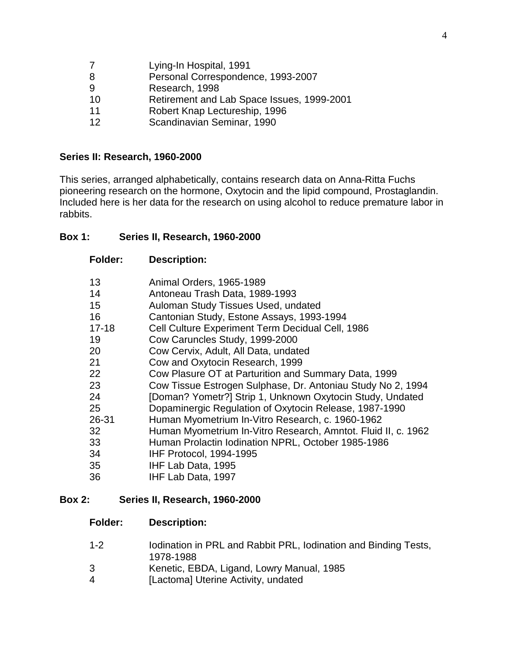- Lying-In Hospital, 1991
- Personal Correspondence, 1993-2007
- Research, 1998
- Retirement and Lab Space Issues, 1999-2001
- Robert Knap Lectureship, 1996
- Scandinavian Seminar, 1990

#### **Series II: Research, 1960-2000**

This series, arranged alphabetically, contains research data on Anna-Ritta Fuchs pioneering research on the hormone, Oxytocin and the lipid compound, Prostaglandin. Included here is her data for the research on using alcohol to reduce premature labor in rabbits.

#### **Box 1: Series II, Research, 1960-2000**

#### **Folder: Description:**

| 13        | Animal Orders, 1965-1989                                      |
|-----------|---------------------------------------------------------------|
| 14        | Antoneau Trash Data, 1989-1993                                |
| 15        | Auloman Study Tissues Used, undated                           |
| 16        | Cantonian Study, Estone Assays, 1993-1994                     |
| $17 - 18$ | Cell Culture Experiment Term Decidual Cell, 1986              |
| 19        | Cow Caruncles Study, 1999-2000                                |
| 20        | Cow Cervix, Adult, All Data, undated                          |
| 21        | Cow and Oxytocin Research, 1999                               |
| 22        | Cow Plasure OT at Parturition and Summary Data, 1999          |
| 23        | Cow Tissue Estrogen Sulphase, Dr. Antoniau Study No 2, 1994   |
| 24        | [Doman? Yometr?] Strip 1, Unknown Oxytocin Study, Undated     |
| 25        | Dopaminergic Regulation of Oxytocin Release, 1987-1990        |
| 26-31     | Human Myometrium In-Vitro Research, c. 1960-1962              |
| 32        | Human Myometrium In-Vitro Research, Amntot. Fluid II, c. 1962 |
| 33        | Human Prolactin Iodination NPRL, October 1985-1986            |
| 34        | IHF Protocol, 1994-1995                                       |
| 35        | IHF Lab Data, 1995                                            |
| 36        | IHF Lab Data, 1997                                            |

#### **Box 2: Series II, Research, 1960-2000**

- 1-2 Iodination in PRL and Rabbit PRL, Iodination and Binding Tests, 1978-1988
- 3 Kenetic, EBDA, Ligand, Lowry Manual, 1985<br>4 [Lactomal Uterine Activity, undated
- [Lactoma] Uterine Activity, undated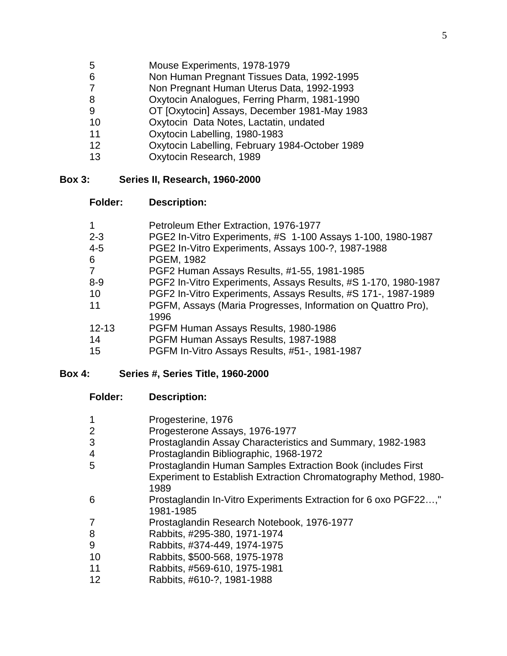- 5 Mouse Experiments, 1978-1979<br>6 **Mon Human Pregnant Tissues D**
- Non Human Pregnant Tissues Data, 1992-1995
- Non Pregnant Human Uterus Data, 1992-1993
- 8 **Oxytocin Analogues, Ferring Pharm, 1981-1990**<br>9 **OT IOxytocinl Assavs. December 1981-May 198**
- OT [Oxytocin] Assays, December 1981-May 1983
- Oxytocin Data Notes, Lactatin, undated
- Oxytocin Labelling, 1980-1983
- Oxytocin Labelling, February 1984-October 1989
- Oxytocin Research, 1989

#### **Box 3: Series II, Research, 1960-2000**

#### **Folder: Description:**

| Petroleum Ether Extraction, 1976-1977                          |
|----------------------------------------------------------------|
| PGE2 In-Vitro Experiments, #S 1-100 Assays 1-100, 1980-1987    |
| PGE2 In-Vitro Experiments, Assays 100-?, 1987-1988             |
| PGEM, 1982                                                     |
| PGF2 Human Assays Results, #1-55, 1981-1985                    |
| PGF2 In-Vitro Experiments, Assays Results, #S 1-170, 1980-1987 |
| PGF2 In-Vitro Experiments, Assays Results, #S 171-, 1987-1989  |
| PGFM, Assays (Maria Progresses, Information on Quattro Pro),   |
| 1996                                                           |
| PGFM Human Assays Results, 1980-1986                           |
| PGFM Human Assays Results, 1987-1988                           |
| PGFM In-Vitro Assays Results, #51-, 1981-1987                  |
|                                                                |

#### **Box 4: Series #, Series Title, 1960-2000**

| <b>Folder:</b> | <b>Description:</b> |
|----------------|---------------------|
|----------------|---------------------|

|    | Progesterine, 1976                                              |
|----|-----------------------------------------------------------------|
|    | Progesterone Assays, 1976-1977                                  |
| 3  | Prostaglandin Assay Characteristics and Summary, 1982-1983      |
| 4  | Prostaglandin Bibliographic, 1968-1972                          |
| 5  | Prostaglandin Human Samples Extraction Book (includes First     |
|    | Experiment to Establish Extraction Chromatography Method, 1980- |
|    | 1989                                                            |
| 6  | Prostaglandin In-Vitro Experiments Extraction for 6 oxo PGF22   |
|    | 1981-1985                                                       |
|    | Prostaglandin Research Notebook, 1976-1977                      |
| 8  | Rabbits, #295-380, 1971-1974                                    |
| 9  | Rabbits, #374-449, 1974-1975                                    |
| 10 | Rabbits, \$500-568, 1975-1978                                   |
| 11 | Rabbits, #569-610, 1975-1981                                    |
| 12 | Rabbits, #610-?, 1981-1988                                      |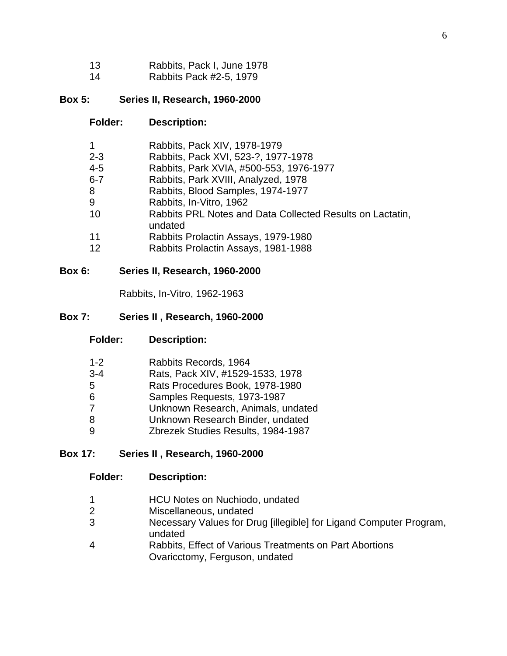- 13 Rabbits, Pack I, June 1978
- 14 Rabbits Pack #2-5, 1979

### **Box 5: Series II, Research, 1960-2000**

### **Folder: Description:**

| $\mathbf 1$ | Rabbits, Pack XIV, 1978-1979                                         |
|-------------|----------------------------------------------------------------------|
| $2 - 3$     | Rabbits, Pack XVI, 523-?, 1977-1978                                  |
| $4 - 5$     | Rabbits, Park XVIA, #500-553, 1976-1977                              |
| $6 - 7$     | Rabbits, Park XVIII, Analyzed, 1978                                  |
| 8           | Rabbits, Blood Samples, 1974-1977                                    |
| 9           | Rabbits, In-Vitro, 1962                                              |
| 10          | Rabbits PRL Notes and Data Collected Results on Lactatin,<br>undated |
| 11          | Rabbits Prolactin Assays, 1979-1980                                  |
| 12          | Rabbits Prolactin Assays, 1981-1988                                  |

### **Box 6: Series II, Research, 1960-2000**

Rabbits, In-Vitro, 1962-1963

#### **Box 7: Series II , Research, 1960-2000**

**Folder: Description:**

| $1 - 2$ | Rabbits Records, 1964              |
|---------|------------------------------------|
| $3 - 4$ | Rats, Pack XIV, #1529-1533, 1978   |
| 5       | Rats Procedures Book, 1978-1980    |
| 6       | Samples Requests, 1973-1987        |
| 7       | Unknown Research, Animals, undated |
| 8       | Unknown Research Binder, undated   |
| 9       | Zbrezek Studies Results, 1984-1987 |

### **Box 17: Series II , Research, 1960-2000**

- 1 **HCU Notes on Nuchiodo, undated**<br>2 **Miscellaneous, undated**
- Miscellaneous, undated
- 3 Necessary Values for Drug [illegible] for Ligand Computer Program, undated
- 4 Rabbits, Effect of Various Treatments on Part Abortions Ovaricctomy, Ferguson, undated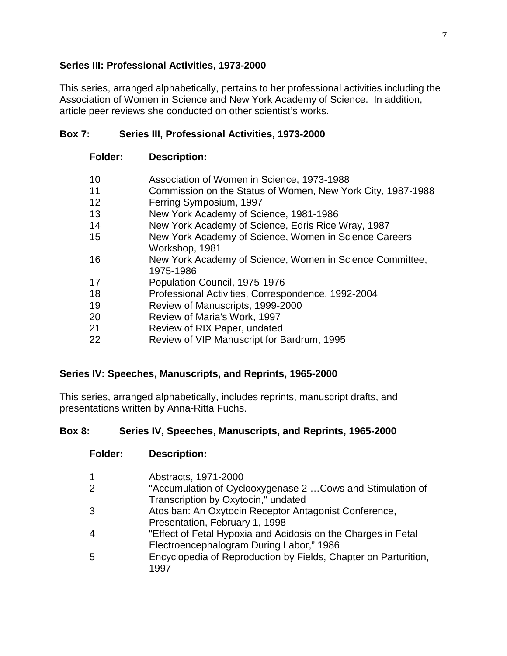# **Series III: Professional Activities, 1973-2000**

This series, arranged alphabetically, pertains to her professional activities including the Association of Women in Science and New York Academy of Science. In addition, article peer reviews she conducted on other scientist's works.

### **Box 7: Series III, Professional Activities, 1973-2000**

### **Folder: Description:**

- 10 Association of Women in Science, 1973-1988
- 11 Commission on the Status of Women, New York City, 1987-1988
- 12 Ferring Symposium, 1997
- 13 New York Academy of Science, 1981-1986
- 14 New York Academy of Science, Edris Rice Wray, 1987
- 15 New York Academy of Science, Women in Science Careers Workshop, 1981
- 16 New York Academy of Science, Women in Science Committee, 1975-1986
- 17 Population Council, 1975-1976
- 18 Professional Activities, Correspondence, 1992-2004
- 19 Review of Manuscripts, 1999-2000
- 20 Review of Maria's Work, 1997
- 21 Review of RIX Paper, undated
- 22 Review of VIP Manuscript for Bardrum, 1995

### **Series IV: Speeches, Manuscripts, and Reprints, 1965-2000**

This series, arranged alphabetically, includes reprints, manuscript drafts, and presentations written by Anna-Ritta Fuchs.

### **Box 8: Series IV, Speeches, Manuscripts, and Reprints, 1965-2000**

| 1 | Abstracts, 1971-2000                                            |
|---|-----------------------------------------------------------------|
| 2 | "Accumulation of Cyclooxygenase 2  Cows and Stimulation of      |
|   | Transcription by Oxytocin," undated                             |
| 3 | Atosiban: An Oxytocin Receptor Antagonist Conference,           |
|   | Presentation, February 1, 1998                                  |
| 4 | "Effect of Fetal Hypoxia and Acidosis on the Charges in Fetal   |
|   | Electroencephalogram During Labor," 1986                        |
| 5 | Encyclopedia of Reproduction by Fields, Chapter on Parturition, |
|   | 1997                                                            |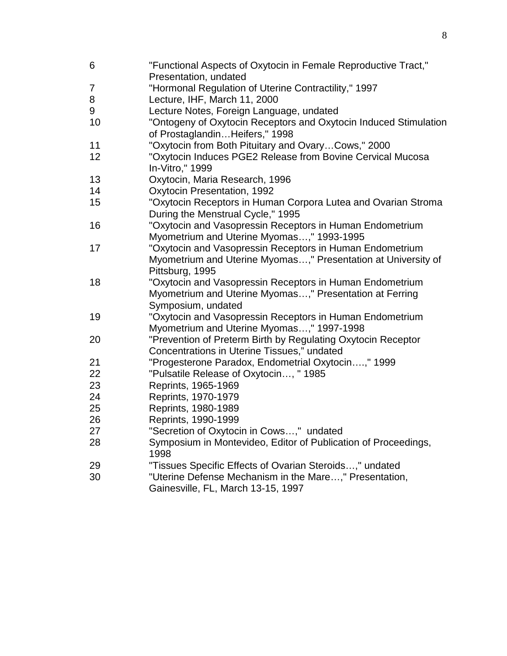"Functional Aspects of Oxytocin in Female Reproductive Tract," Presentation, undated "Hormonal Regulation of Uterine Contractility," 1997 Lecture, IHF, March 11, 2000 Lecture Notes, Foreign Language, undated "Ontogeny of Oxytocin Receptors and Oxytocin Induced Stimulation of Prostaglandin…Heifers," 1998 "Oxytocin from Both Pituitary and Ovary…Cows," 2000 "Oxytocin Induces PGE2 Release from Bovine Cervical Mucosa In-Vitro," 1999 Oxytocin, Maria Research, 1996 Oxytocin Presentation, 1992 "Oxytocin Receptors in Human Corpora Lutea and Ovarian Stroma During the Menstrual Cycle," 1995 "Oxytocin and Vasopressin Receptors in Human Endometrium Myometrium and Uterine Myomas…," 1993-1995 "Oxytocin and Vasopressin Receptors in Human Endometrium Myometrium and Uterine Myomas…," Presentation at University of Pittsburg, 1995 "Oxytocin and Vasopressin Receptors in Human Endometrium Myometrium and Uterine Myomas…," Presentation at Ferring Symposium, undated "Oxytocin and Vasopressin Receptors in Human Endometrium Myometrium and Uterine Myomas…," 1997-1998 "Prevention of Preterm Birth by Regulating Oxytocin Receptor Concentrations in Uterine Tissues," undated "Progesterone Paradox, Endometrial Oxytocin….," 1999 "Pulsatile Release of Oxytocin…, " 1985 Reprints, 1965-1969 Reprints, 1970-1979 Reprints, 1980-1989 Reprints, 1990-1999 "Secretion of Oxytocin in Cows…," undated Symposium in Montevideo, Editor of Publication of Proceedings, "Tissues Specific Effects of Ovarian Steroids…," undated "Uterine Defense Mechanism in the Mare…," Presentation, Gainesville, FL, March 13-15, 1997